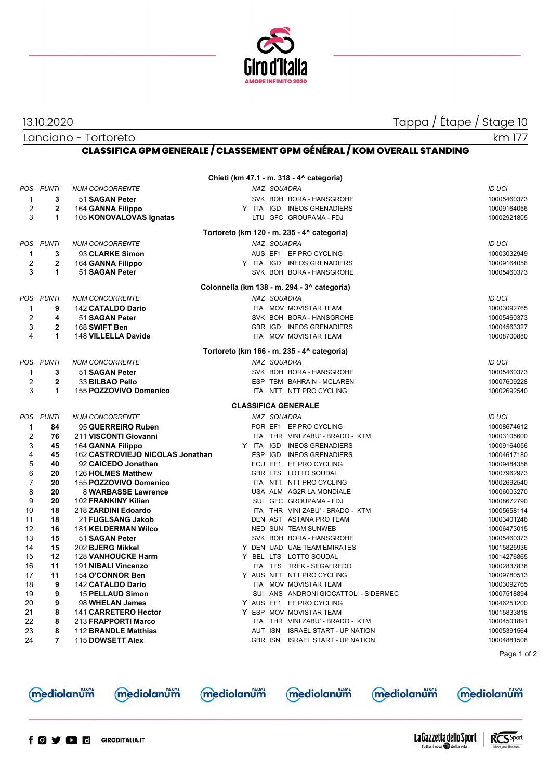

13.10.2020 Tappa / Étape / Stage 10

Tutto il rosa della vita

Lanciano - Tortoreto

km 177

## **CLASSIFICA GPM GENERALE / CLASSEMENT GPM GÉNÉRAL / KOM OVERALL STANDING**

| <b>NUM CONCORRENTE</b><br>51 SAGAN Peter<br>164 GANNA Filippo<br>105 KONOVALOVAS Ignatas<br><b>NUM CONCORRENTE</b><br>93 CLARKE Simon<br>164 GANNA Filippo<br>51 SAGAN Peter<br><b>NUM CONCORRENTE</b><br>142 CATALDO Dario<br>51 SAGAN Peter<br>168 SWIFT Ben<br>148 VILLELLA Davide<br><b>NUM CONCORRENTE</b><br>51 SAGAN Peter<br>33 BILBAO Pello<br>155 POZZOVIVO Domenico<br><b>NUM CONCORRENTE</b> | Tortoreto (km 120 - m. 235 - 4^ categoria)<br>Colonnella (km 138 - m. 294 - 3^ categoria)<br>Tortoreto (km 166 - m. 235 - 4^ categoria)<br><b>CLASSIFICA GENERALE</b> | NAZ SQUADRA<br>NAZ SQUADRA<br>NAZ SQUADRA<br>NAZ SQUADRA | SVK BOH BORA - HANSGROHE<br>Y ITA IGD INEOS GRENADIERS<br>LTU GFC GROUPAMA - FDJ<br>AUS EF1 EF PRO CYCLING<br>Y ITA IGD INEOS GRENADIERS<br>SVK BOH BORA - HANSGROHE<br>ITA MOV MOVISTAR TEAM<br>SVK BOH BORA - HANSGROHE<br>GBR IGD INEOS GRENADIERS<br>ITA MOV MOVISTAR TEAM<br>SVK BOH BORA - HANSGROHE |                                                                                                                                                                   | <b>ID UCI</b><br>10005460373<br>10009164056<br>10002921805<br>ID UCI<br>10003032949<br>10009164056<br>10005460373<br><b>ID UCI</b><br>10003092765<br>10005460373<br>10004563327<br>10008700880 |
|----------------------------------------------------------------------------------------------------------------------------------------------------------------------------------------------------------------------------------------------------------------------------------------------------------------------------------------------------------------------------------------------------------|-----------------------------------------------------------------------------------------------------------------------------------------------------------------------|----------------------------------------------------------|------------------------------------------------------------------------------------------------------------------------------------------------------------------------------------------------------------------------------------------------------------------------------------------------------------|-------------------------------------------------------------------------------------------------------------------------------------------------------------------|------------------------------------------------------------------------------------------------------------------------------------------------------------------------------------------------|
|                                                                                                                                                                                                                                                                                                                                                                                                          |                                                                                                                                                                       |                                                          |                                                                                                                                                                                                                                                                                                            |                                                                                                                                                                   |                                                                                                                                                                                                |
|                                                                                                                                                                                                                                                                                                                                                                                                          |                                                                                                                                                                       |                                                          |                                                                                                                                                                                                                                                                                                            |                                                                                                                                                                   |                                                                                                                                                                                                |
|                                                                                                                                                                                                                                                                                                                                                                                                          |                                                                                                                                                                       |                                                          |                                                                                                                                                                                                                                                                                                            |                                                                                                                                                                   |                                                                                                                                                                                                |
|                                                                                                                                                                                                                                                                                                                                                                                                          |                                                                                                                                                                       |                                                          |                                                                                                                                                                                                                                                                                                            |                                                                                                                                                                   |                                                                                                                                                                                                |
|                                                                                                                                                                                                                                                                                                                                                                                                          |                                                                                                                                                                       |                                                          |                                                                                                                                                                                                                                                                                                            |                                                                                                                                                                   |                                                                                                                                                                                                |
|                                                                                                                                                                                                                                                                                                                                                                                                          |                                                                                                                                                                       |                                                          |                                                                                                                                                                                                                                                                                                            |                                                                                                                                                                   |                                                                                                                                                                                                |
|                                                                                                                                                                                                                                                                                                                                                                                                          |                                                                                                                                                                       |                                                          |                                                                                                                                                                                                                                                                                                            |                                                                                                                                                                   |                                                                                                                                                                                                |
|                                                                                                                                                                                                                                                                                                                                                                                                          |                                                                                                                                                                       |                                                          |                                                                                                                                                                                                                                                                                                            |                                                                                                                                                                   |                                                                                                                                                                                                |
|                                                                                                                                                                                                                                                                                                                                                                                                          |                                                                                                                                                                       |                                                          |                                                                                                                                                                                                                                                                                                            |                                                                                                                                                                   |                                                                                                                                                                                                |
|                                                                                                                                                                                                                                                                                                                                                                                                          |                                                                                                                                                                       |                                                          |                                                                                                                                                                                                                                                                                                            |                                                                                                                                                                   |                                                                                                                                                                                                |
|                                                                                                                                                                                                                                                                                                                                                                                                          |                                                                                                                                                                       |                                                          |                                                                                                                                                                                                                                                                                                            |                                                                                                                                                                   |                                                                                                                                                                                                |
|                                                                                                                                                                                                                                                                                                                                                                                                          |                                                                                                                                                                       |                                                          |                                                                                                                                                                                                                                                                                                            |                                                                                                                                                                   |                                                                                                                                                                                                |
|                                                                                                                                                                                                                                                                                                                                                                                                          |                                                                                                                                                                       |                                                          |                                                                                                                                                                                                                                                                                                            |                                                                                                                                                                   |                                                                                                                                                                                                |
|                                                                                                                                                                                                                                                                                                                                                                                                          |                                                                                                                                                                       |                                                          |                                                                                                                                                                                                                                                                                                            |                                                                                                                                                                   |                                                                                                                                                                                                |
|                                                                                                                                                                                                                                                                                                                                                                                                          |                                                                                                                                                                       |                                                          |                                                                                                                                                                                                                                                                                                            |                                                                                                                                                                   |                                                                                                                                                                                                |
|                                                                                                                                                                                                                                                                                                                                                                                                          |                                                                                                                                                                       |                                                          |                                                                                                                                                                                                                                                                                                            |                                                                                                                                                                   |                                                                                                                                                                                                |
|                                                                                                                                                                                                                                                                                                                                                                                                          |                                                                                                                                                                       |                                                          |                                                                                                                                                                                                                                                                                                            |                                                                                                                                                                   |                                                                                                                                                                                                |
|                                                                                                                                                                                                                                                                                                                                                                                                          |                                                                                                                                                                       |                                                          |                                                                                                                                                                                                                                                                                                            |                                                                                                                                                                   | <b>ID UCI</b>                                                                                                                                                                                  |
|                                                                                                                                                                                                                                                                                                                                                                                                          |                                                                                                                                                                       |                                                          |                                                                                                                                                                                                                                                                                                            |                                                                                                                                                                   | 10005460373                                                                                                                                                                                    |
|                                                                                                                                                                                                                                                                                                                                                                                                          |                                                                                                                                                                       |                                                          | ESP TBM BAHRAIN - MCLAREN                                                                                                                                                                                                                                                                                  |                                                                                                                                                                   | 10007609228                                                                                                                                                                                    |
|                                                                                                                                                                                                                                                                                                                                                                                                          |                                                                                                                                                                       |                                                          | ITA NTT NTT PRO CYCLING                                                                                                                                                                                                                                                                                    |                                                                                                                                                                   | 10002692540                                                                                                                                                                                    |
|                                                                                                                                                                                                                                                                                                                                                                                                          |                                                                                                                                                                       |                                                          |                                                                                                                                                                                                                                                                                                            |                                                                                                                                                                   |                                                                                                                                                                                                |
|                                                                                                                                                                                                                                                                                                                                                                                                          |                                                                                                                                                                       | NAZ SQUADRA                                              |                                                                                                                                                                                                                                                                                                            |                                                                                                                                                                   | <b>ID UCI</b>                                                                                                                                                                                  |
| 95 GUERREIRO Ruben                                                                                                                                                                                                                                                                                                                                                                                       |                                                                                                                                                                       |                                                          | POR EF1 EF PRO CYCLING                                                                                                                                                                                                                                                                                     |                                                                                                                                                                   | 10008674612                                                                                                                                                                                    |
| 211 VISCONTI Giovanni                                                                                                                                                                                                                                                                                                                                                                                    |                                                                                                                                                                       |                                                          | ITA THR VINI ZABU' - BRADO - KTM                                                                                                                                                                                                                                                                           |                                                                                                                                                                   | 10003105600                                                                                                                                                                                    |
| 164 GANNA Filippo                                                                                                                                                                                                                                                                                                                                                                                        | Y ITA IGD                                                                                                                                                             |                                                          | <b>INEOS GRENADIERS</b>                                                                                                                                                                                                                                                                                    |                                                                                                                                                                   | 10009164056                                                                                                                                                                                    |
| 162 CASTROVIEJO NICOLAS Jonathan                                                                                                                                                                                                                                                                                                                                                                         | ESP IGD                                                                                                                                                               |                                                          | <b>INEOS GRENADIERS</b>                                                                                                                                                                                                                                                                                    |                                                                                                                                                                   | 10004617180                                                                                                                                                                                    |
| 92 CAICEDO Jonathan                                                                                                                                                                                                                                                                                                                                                                                      | ECU EF1                                                                                                                                                               |                                                          | EF PRO CYCLING                                                                                                                                                                                                                                                                                             |                                                                                                                                                                   | 10009484358                                                                                                                                                                                    |
| 126 HOLMES Matthew                                                                                                                                                                                                                                                                                                                                                                                       |                                                                                                                                                                       |                                                          | GBR LTS LOTTO SOUDAL                                                                                                                                                                                                                                                                                       |                                                                                                                                                                   | 10007962973                                                                                                                                                                                    |
| 155 POZZOVIVO Domenico                                                                                                                                                                                                                                                                                                                                                                                   |                                                                                                                                                                       |                                                          | ITA NTT NTT PRO CYCLING                                                                                                                                                                                                                                                                                    |                                                                                                                                                                   | 10002692540                                                                                                                                                                                    |
| 8 WARBASSE Lawrence                                                                                                                                                                                                                                                                                                                                                                                      |                                                                                                                                                                       |                                                          | USA ALM AG2R LA MONDIALE                                                                                                                                                                                                                                                                                   |                                                                                                                                                                   | 10006003270                                                                                                                                                                                    |
| 102 FRANKINY Kilian                                                                                                                                                                                                                                                                                                                                                                                      |                                                                                                                                                                       |                                                          | SUI GFC GROUPAMA - FDJ                                                                                                                                                                                                                                                                                     |                                                                                                                                                                   | 10008672790                                                                                                                                                                                    |
| 218 ZARDINI Edoardo                                                                                                                                                                                                                                                                                                                                                                                      |                                                                                                                                                                       |                                                          | ITA THR VINI ZABU' - BRADO - KTM                                                                                                                                                                                                                                                                           |                                                                                                                                                                   | 10005658114                                                                                                                                                                                    |
| 21 FUGLSANG Jakob                                                                                                                                                                                                                                                                                                                                                                                        |                                                                                                                                                                       |                                                          | DEN AST ASTANA PRO TEAM                                                                                                                                                                                                                                                                                    |                                                                                                                                                                   | 10003401246                                                                                                                                                                                    |
| 181 KELDERMAN Wilco                                                                                                                                                                                                                                                                                                                                                                                      |                                                                                                                                                                       |                                                          | NED SUN TEAM SUNWEB                                                                                                                                                                                                                                                                                        |                                                                                                                                                                   | 10006473015                                                                                                                                                                                    |
| 51 SAGAN Peter                                                                                                                                                                                                                                                                                                                                                                                           |                                                                                                                                                                       |                                                          | SVK BOH BORA - HANSGROHE                                                                                                                                                                                                                                                                                   |                                                                                                                                                                   | 10005460373                                                                                                                                                                                    |
| 202 BJERG Mikkel                                                                                                                                                                                                                                                                                                                                                                                         |                                                                                                                                                                       |                                                          | Y DEN UAD UAE TEAM EMIRATES                                                                                                                                                                                                                                                                                |                                                                                                                                                                   | 10015825936                                                                                                                                                                                    |
| <b>128 VANHOUCKE Harm</b>                                                                                                                                                                                                                                                                                                                                                                                |                                                                                                                                                                       |                                                          | Y BEL LTS LOTTO SOUDAL                                                                                                                                                                                                                                                                                     |                                                                                                                                                                   | 10014276865                                                                                                                                                                                    |
| 191 NIBALI Vincenzo                                                                                                                                                                                                                                                                                                                                                                                      |                                                                                                                                                                       |                                                          | ITA TFS TREK - SEGAFREDO                                                                                                                                                                                                                                                                                   |                                                                                                                                                                   | 10002837838                                                                                                                                                                                    |
| 154 O'CONNOR Ben                                                                                                                                                                                                                                                                                                                                                                                         |                                                                                                                                                                       |                                                          | Y AUS NTT NTT PRO CYCLING                                                                                                                                                                                                                                                                                  |                                                                                                                                                                   | 10009780513                                                                                                                                                                                    |
| 142 CATALDO Dario                                                                                                                                                                                                                                                                                                                                                                                        |                                                                                                                                                                       |                                                          | ITA MOV MOVISTAR TEAM                                                                                                                                                                                                                                                                                      |                                                                                                                                                                   | 10003092765                                                                                                                                                                                    |
| <b>15 PELLAUD Simon</b>                                                                                                                                                                                                                                                                                                                                                                                  |                                                                                                                                                                       |                                                          | SUI ANS ANDRONI GIOCATTOLI - SIDERMEC                                                                                                                                                                                                                                                                      |                                                                                                                                                                   | 10007518894                                                                                                                                                                                    |
|                                                                                                                                                                                                                                                                                                                                                                                                          |                                                                                                                                                                       |                                                          |                                                                                                                                                                                                                                                                                                            |                                                                                                                                                                   | 10046251200                                                                                                                                                                                    |
|                                                                                                                                                                                                                                                                                                                                                                                                          |                                                                                                                                                                       |                                                          |                                                                                                                                                                                                                                                                                                            |                                                                                                                                                                   | 10015833818                                                                                                                                                                                    |
|                                                                                                                                                                                                                                                                                                                                                                                                          |                                                                                                                                                                       |                                                          |                                                                                                                                                                                                                                                                                                            |                                                                                                                                                                   | 10004501891                                                                                                                                                                                    |
|                                                                                                                                                                                                                                                                                                                                                                                                          |                                                                                                                                                                       |                                                          |                                                                                                                                                                                                                                                                                                            |                                                                                                                                                                   | 10005391564<br>10004881508                                                                                                                                                                     |
|                                                                                                                                                                                                                                                                                                                                                                                                          |                                                                                                                                                                       |                                                          |                                                                                                                                                                                                                                                                                                            |                                                                                                                                                                   |                                                                                                                                                                                                |
|                                                                                                                                                                                                                                                                                                                                                                                                          |                                                                                                                                                                       |                                                          |                                                                                                                                                                                                                                                                                                            |                                                                                                                                                                   | Page 1 of 2                                                                                                                                                                                    |
|                                                                                                                                                                                                                                                                                                                                                                                                          |                                                                                                                                                                       |                                                          |                                                                                                                                                                                                                                                                                                            |                                                                                                                                                                   | <b>mediolanum</b>                                                                                                                                                                              |
|                                                                                                                                                                                                                                                                                                                                                                                                          | 98 WHELAN James<br>141 CARRETERO Hector<br>213 FRAPPORTI Marco<br>112 BRANDLE Matthias<br>115 DOWSETT Alex                                                            | mediolanum<br>mediolanům                                 | Y AUS EF1<br>AUT ISN<br><b>GBR ISN</b>                                                                                                                                                                                                                                                                     | EF PRO CYCLING<br>Y ESP MOV MOVISTAR TEAM<br>ITA THR VINI ZABU' - BRADO - KTM<br><b>ISRAEL START - UP NATION</b><br><b>ISRAEL START - UP NATION</b><br>mediolanum | mediolanum                                                                                                                                                                                     |